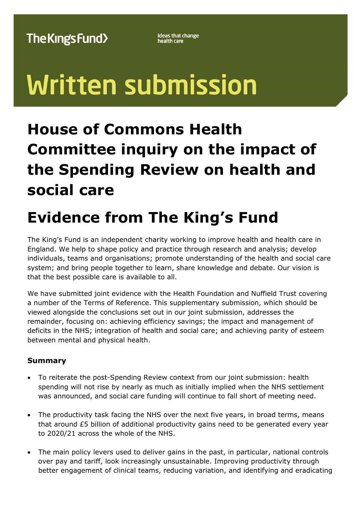**Ideas that change**<br>health care

# **Written submission**

## **House of Commons Health Committee inquiry on the impact of the Spending Review on health and social care**

# **Evidence from The King's Fund**

The King's Fund is an independent charity working to improve health and health care in England. We help to shape policy and practice through research and analysis; develop individuals, teams and organisations; promote understanding of the health and social care system; and bring people together to learn, share knowledge and debate. Our vision is that the best possible care is available to all.

We have submitted joint evidence with the Health Foundation and Nuffield Trust covering a number of the Terms of Reference. This supplementary submission, which should be viewed alongside the conclusions set out in our joint submission, addresses the remainder, focusing on: achieving efficiency savings; the impact and management of deficits in the NHS; integration of health and social care; and achieving parity of esteem between mental and physical health.

### **Summary**

- To reiterate the post-Spending Review context from our joint submission: health spending will not rise by nearly as much as initially implied when the NHS settlement was announced, and social care funding will continue to fall short of meeting need.
- The productivity task facing the NHS over the next five years, in broad terms, means that around £5 billion of additional productivity gains need to be generated every year to 2020/21 across the whole of the NHS.
- The main policy levers used to deliver gains in the past, in particular, national controls over pay and tariff, look increasingly unsustainable. Improving productivity through better engagement of clinical teams, reducing variation, and identifying and eradicating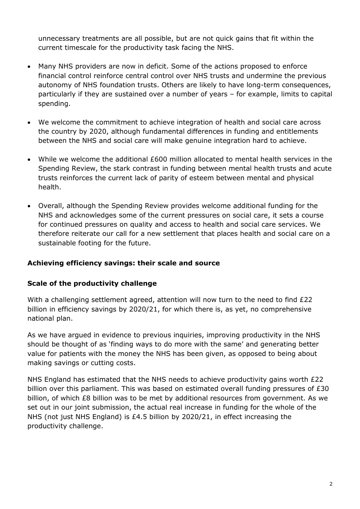unnecessary treatments are all possible, but are not quick gains that fit within the current timescale for the productivity task facing the NHS.

- Many NHS providers are now in deficit. Some of the actions proposed to enforce financial control reinforce central control over NHS trusts and undermine the previous autonomy of NHS foundation trusts. Others are likely to have long-term consequences, particularly if they are sustained over a number of years – for example, limits to capital spending.
- We welcome the commitment to achieve integration of health and social care across the country by 2020, although fundamental differences in funding and entitlements between the NHS and social care will make genuine integration hard to achieve.
- While we welcome the additional £600 million allocated to mental health services in the Spending Review, the stark contrast in funding between mental health trusts and acute trusts reinforces the current lack of parity of esteem between mental and physical health.
- Overall, although the Spending Review provides welcome additional funding for the NHS and acknowledges some of the current pressures on social care, it sets a course for continued pressures on quality and access to health and social care services. We therefore reiterate our call for a new settlement that places health and social care on a sustainable footing for the future.

#### **Achieving efficiency savings: their scale and source**

#### **Scale of the productivity challenge**

With a challenging settlement agreed, attention will now turn to the need to find £22 billion in efficiency savings by 2020/21, for which there is, as yet, no comprehensive national plan.

As we have argued in evidence to previous inquiries, improving productivity in the NHS should be thought of as 'finding ways to do more with the same' and generating better value for patients with the money the NHS has been given, as opposed to being about making savings or cutting costs.

NHS England has estimated that the NHS needs to achieve productivity gains worth £22 billion over this parliament. This was based on estimated overall funding pressures of £30 billion, of which £8 billion was to be met by additional resources from government. As we set out in our joint submission, the actual real increase in funding for the whole of the NHS (not just NHS England) is £4.5 billion by 2020/21, in effect increasing the productivity challenge.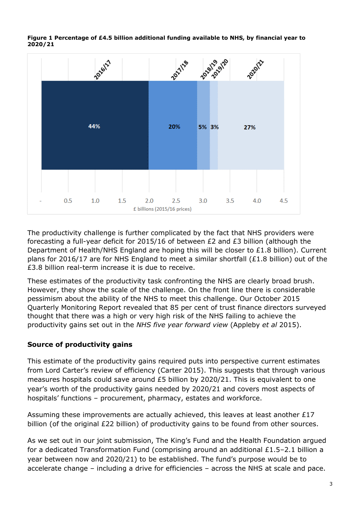**Figure 1 Percentage of £4.5 billion additional funding available to NHS, by financial year to 2020/21**



The productivity challenge is further complicated by the fact that NHS providers were forecasting a full-year deficit for 2015/16 of between  $E2$  and  $E3$  billion (although the Department of Health/NHS England are hoping this will be closer to £1.8 billion). Current plans for 2016/17 are for NHS England to meet a similar shortfall (£1.8 billion) out of the £3.8 billion real-term increase it is due to receive.

These estimates of the productivity task confronting the NHS are clearly broad brush. However, they show the scale of the challenge. On the front line there is considerable pessimism about the ability of the NHS to meet this challenge. Our October 2015 Quarterly Monitoring Report revealed that 85 per cent of trust finance directors surveyed thought that there was a high or very high risk of the NHS failing to achieve the productivity gains set out in the *NHS five year forward view* (Appleby *et al* 2015).

#### **Source of productivity gains**

This estimate of the productivity gains required puts into perspective current estimates from Lord Carter's review of efficiency (Carter 2015). This suggests that through various measures hospitals could save around £5 billion by 2020/21. This is equivalent to one year's worth of the productivity gains needed by 2020/21 and covers most aspects of hospitals' functions – procurement, pharmacy, estates and workforce.

Assuming these improvements are actually achieved, this leaves at least another  $E17$ billion (of the original £22 billion) of productivity gains to be found from other sources.

As we set out in our joint submission, The King's Fund and the Health Foundation argued for a dedicated Transformation Fund (comprising around an additional £1.5–2.1 billion a year between now and 2020/21) to be established. The fund's purpose would be to accelerate change – including a drive for efficiencies – across the NHS at scale and pace.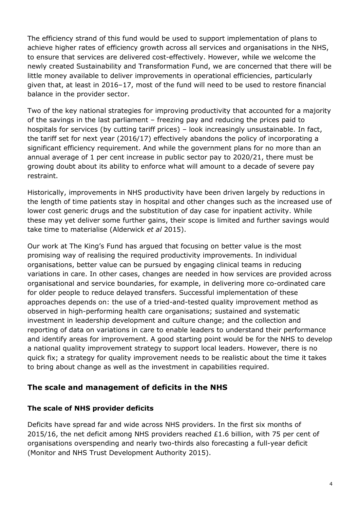The efficiency strand of this fund would be used to support implementation of plans to achieve higher rates of efficiency growth across all services and organisations in the NHS, to ensure that services are delivered cost-effectively. However, while we welcome the newly created Sustainability and Transformation Fund, we are concerned that there will be little money available to deliver improvements in operational efficiencies, particularly given that, at least in 2016–17, most of the fund will need to be used to restore financial balance in the provider sector.

Two of the key national strategies for improving productivity that accounted for a majority of the savings in the last parliament – freezing pay and reducing the prices paid to hospitals for services (by cutting tariff prices) – look increasingly unsustainable. In fact, the tariff set for next year (2016/17) effectively abandons the policy of incorporating a significant efficiency requirement. And while the government plans for no more than an annual average of 1 per cent increase in public sector pay to 2020/21, there must be growing doubt about its ability to enforce what will amount to a decade of severe pay restraint.

Historically, improvements in NHS productivity have been driven largely by reductions in the length of time patients stay in hospital and other changes such as the increased use of lower cost generic drugs and the substitution of day case for inpatient activity. While these may yet deliver some further gains, their scope is limited and further savings would take time to materialise (Alderwick *et al* 2015).

Our work at The King's Fund has argued that focusing on better value is the most promising way of realising the required productivity improvements. In individual organisations, better value can be pursued by engaging clinical teams in reducing variations in care. In other cases, changes are needed in how services are provided across organisational and service boundaries, for example, in delivering more co-ordinated care for older people to reduce delayed transfers. Successful implementation of these approaches depends on: the use of a tried-and-tested quality improvement method as observed in high-performing health care organisations; sustained and systematic investment in leadership development and culture change; and the collection and reporting of data on variations in care to enable leaders to understand their performance and identify areas for improvement. A good starting point would be for the NHS to develop a national quality improvement strategy to support local leaders. However, there is no quick fix; a strategy for quality improvement needs to be realistic about the time it takes to bring about change as well as the investment in capabilities required.

#### **The scale and management of deficits in the NHS**

#### **The scale of NHS provider deficits**

Deficits have spread far and wide across NHS providers. In the first six months of 2015/16, the net deficit among NHS providers reached  $£1.6$  billion, with 75 per cent of organisations overspending and nearly two-thirds also forecasting a full-year deficit (Monitor and NHS Trust Development Authority 2015).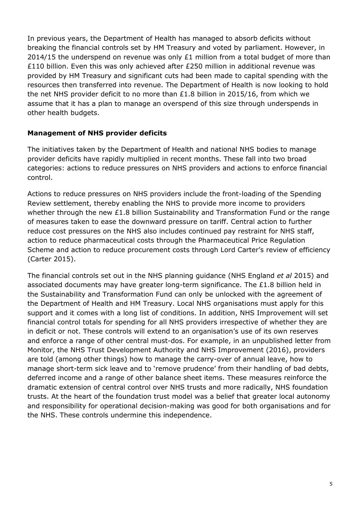In previous years, the Department of Health has managed to absorb deficits without breaking the financial controls set by HM Treasury and voted by parliament. However, in 2014/15 the underspend on revenue was only £1 million from a total budget of more than £110 billion. Even this was only achieved after £250 million in additional revenue was provided by HM Treasury and significant cuts had been made to capital spending with the resources then transferred into revenue. The Department of Health is now looking to hold the net NHS provider deficit to no more than £1.8 billion in 2015/16, from which we assume that it has a plan to manage an overspend of this size through underspends in other health budgets.

#### **Management of NHS provider deficits**

The initiatives taken by the Department of Health and national NHS bodies to manage provider deficits have rapidly multiplied in recent months. These fall into two broad categories: actions to reduce pressures on NHS providers and actions to enforce financial control.

Actions to reduce pressures on NHS providers include the front-loading of the Spending Review settlement, thereby enabling the NHS to provide more income to providers whether through the new £1.8 billion Sustainability and Transformation Fund or the range of measures taken to ease the downward pressure on tariff. Central action to further reduce cost pressures on the NHS also includes continued pay restraint for NHS staff, action to reduce pharmaceutical costs through the Pharmaceutical Price Regulation Scheme and action to reduce procurement costs through Lord Carter's review of efficiency (Carter 2015).

The financial controls set out in the NHS planning guidance (NHS England *et al* 2015) and associated documents may have greater long-term significance. The  $£1.8$  billion held in the Sustainability and Transformation Fund can only be unlocked with the agreement of the Department of Health and HM Treasury. Local NHS organisations must apply for this support and it comes with a long list of conditions. In addition, NHS Improvement will set financial control totals for spending for all NHS providers irrespective of whether they are in deficit or not. These controls will extend to an organisation's use of its own reserves and enforce a range of other central must-dos. For example, in an unpublished letter from Monitor, the NHS Trust Development Authority and NHS Improvement (2016), providers are told (among other things) how to manage the carry-over of annual leave, how to manage short-term sick leave and to 'remove prudence' from their handling of bad debts, deferred income and a range of other balance sheet items. These measures reinforce the dramatic extension of central control over NHS trusts and more radically, NHS foundation trusts. At the heart of the foundation trust model was a belief that greater local autonomy and responsibility for operational decision-making was good for both organisations and for the NHS. These controls undermine this independence.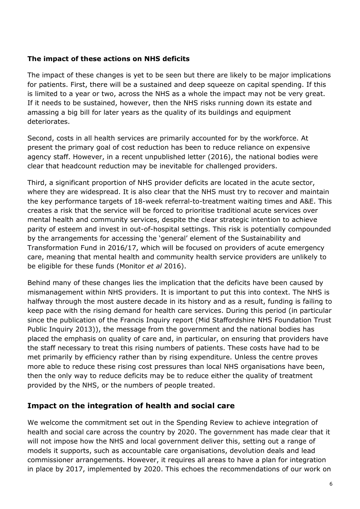#### **The impact of these actions on NHS deficits**

The impact of these changes is yet to be seen but there are likely to be major implications for patients. First, there will be a sustained and deep squeeze on capital spending. If this is limited to a year or two, across the NHS as a whole the impact may not be very great. If it needs to be sustained, however, then the NHS risks running down its estate and amassing a big bill for later years as the quality of its buildings and equipment deteriorates.

Second, costs in all health services are primarily accounted for by the workforce. At present the primary goal of cost reduction has been to reduce reliance on expensive agency staff. However, in a recent unpublished letter (2016), the national bodies were clear that headcount reduction may be inevitable for challenged providers.

Third, a significant proportion of NHS provider deficits are located in the acute sector, where they are widespread. It is also clear that the NHS must try to recover and maintain the key performance targets of 18-week referral-to-treatment waiting times and A&E. This creates a risk that the service will be forced to prioritise traditional acute services over mental health and community services, despite the clear strategic intention to achieve parity of esteem and invest in out-of-hospital settings. This risk is potentially compounded by the arrangements for accessing the 'general' element of the Sustainability and Transformation Fund in 2016/17, which will be focused on providers of acute emergency care, meaning that mental health and community health service providers are unlikely to be eligible for these funds (Monitor *et al* 2016).

Behind many of these changes lies the implication that the deficits have been caused by mismanagement within NHS providers. It is important to put this into context. The NHS is halfway through the most austere decade in its history and as a result, funding is failing to keep pace with the rising demand for health care services. During this period (in particular since the publication of the Francis Inquiry report (Mid Staffordshire NHS Foundation Trust Public Inquiry 2013)), the message from the government and the national bodies has placed the emphasis on quality of care and, in particular, on ensuring that providers have the staff necessary to treat this rising numbers of patients. These costs have had to be met primarily by efficiency rather than by rising expenditure. Unless the centre proves more able to reduce these rising cost pressures than local NHS organisations have been, then the only way to reduce deficits may be to reduce either the quality of treatment provided by the NHS, or the numbers of people treated.

#### **Impact on the integration of health and social care**

We welcome the commitment set out in the Spending Review to achieve integration of health and social care across the country by 2020. The government has made clear that it will not impose how the NHS and local government deliver this, setting out a range of models it supports, such as accountable care organisations, devolution deals and lead commissioner arrangements. However, it requires all areas to have a plan for integration in place by 2017, implemented by 2020. This echoes the recommendations of our work on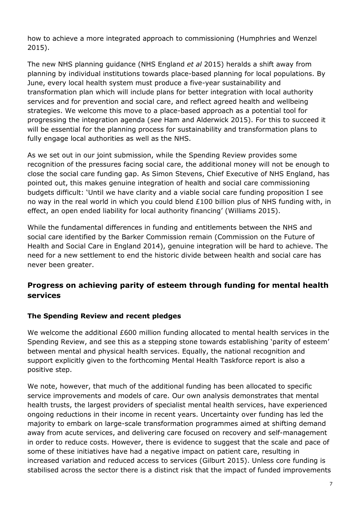how to achieve a more integrated approach to commissioning (Humphries and Wenzel 2015).

The new NHS planning guidance (NHS England *et al* 2015) heralds a shift away from planning by individual institutions towards place-based planning for local populations. By June, every local health system must produce a five-year sustainability and transformation plan which will include plans for better integration with local authority services and for prevention and social care, and reflect agreed health and wellbeing strategies. We welcome this move to a place-based approach as a potential tool for progressing the integration agenda (*see* Ham and Alderwick 2015). For this to succeed it will be essential for the planning process for sustainability and transformation plans to fully engage local authorities as well as the NHS.

As we set out in our joint submission, while the Spending Review provides some recognition of the pressures facing social care, the additional money will not be enough to close the social care funding gap. As Simon Stevens, Chief Executive of NHS England, has pointed out, this makes genuine integration of health and social care commissioning budgets difficult: 'Until we have clarity and a viable social care funding proposition I see no way in the real world in which you could blend £100 billion plus of NHS funding with, in effect, an open ended liability for local authority financing' (Williams 2015).

While the fundamental differences in funding and entitlements between the NHS and social care identified by the Barker Commission remain (Commission on the Future of Health and Social Care in England 2014), genuine integration will be hard to achieve. The need for a new settlement to end the historic divide between health and social care has never been greater.

### **Progress on achieving parity of esteem through funding for mental health services**

#### **The Spending Review and recent pledges**

We welcome the additional £600 million funding allocated to mental health services in the Spending Review, and see this as a stepping stone towards establishing 'parity of esteem' between mental and physical health services. Equally, the national recognition and support explicitly given to the forthcoming Mental Health Taskforce report is also a positive step.

We note, however, that much of the additional funding has been allocated to specific service improvements and models of care. Our own analysis demonstrates that mental health trusts, the largest providers of specialist mental health services, have experienced ongoing reductions in their income in recent years. Uncertainty over funding has led the majority to embark on large-scale transformation programmes aimed at shifting demand away from acute services, and delivering care focused on recovery and self-management in order to reduce costs. However, there is evidence to suggest that the scale and pace of some of these initiatives have had a negative impact on patient care, resulting in increased variation and reduced access to services (Gilburt 2015). Unless core funding is stabilised across the sector there is a distinct risk that the impact of funded improvements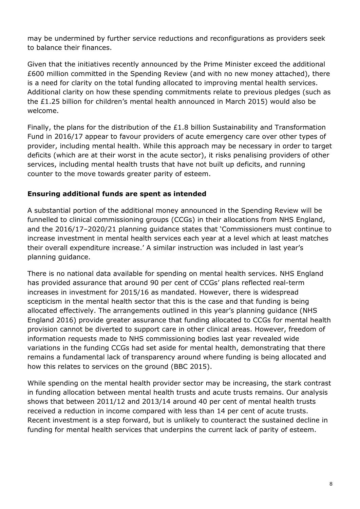may be undermined by further service reductions and reconfigurations as providers seek to balance their finances.

Given that the initiatives recently announced by the Prime Minister exceed the additional £600 million committed in the Spending Review (and with no new money attached), there is a need for clarity on the total funding allocated to improving mental health services. Additional clarity on how these spending commitments relate to previous pledges (such as the £1.25 billion for children's mental health announced in March 2015) would also be welcome.

Finally, the plans for the distribution of the £1.8 billion Sustainability and Transformation Fund in 2016/17 appear to favour providers of acute emergency care over other types of provider, including mental health. While this approach may be necessary in order to target deficits (which are at their worst in the acute sector), it risks penalising providers of other services, including mental health trusts that have not built up deficits, and running counter to the move towards greater parity of esteem.

#### **Ensuring additional funds are spent as intended**

A substantial portion of the additional money announced in the Spending Review will be funnelled to clinical commissioning groups (CCGs) in their allocations from NHS England, and the 2016/17–2020/21 planning guidance states that 'Commissioners must continue to increase investment in mental health services each year at a level which at least matches their overall expenditure increase.' A similar instruction was included in last year's planning guidance.

There is no national data available for spending on mental health services. NHS England has provided assurance that around 90 per cent of CCGs' plans reflected real-term increases in investment for 2015/16 as mandated. However, there is widespread scepticism in the mental health sector that this is the case and that funding is being allocated effectively. The arrangements outlined in this year's planning guidance (NHS England 2016) provide greater assurance that funding allocated to CCGs for mental health provision cannot be diverted to support care in other clinical areas. However, freedom of information requests made to NHS commissioning bodies last year revealed wide variations in the funding CCGs had set aside for mental health, demonstrating that there remains a fundamental lack of transparency around where funding is being allocated and how this relates to services on the ground (BBC 2015).

While spending on the mental health provider sector may be increasing, the stark contrast in funding allocation between mental health trusts and acute trusts remains. Our analysis shows that between 2011/12 and 2013/14 around 40 per cent of mental health trusts received a reduction in income compared with less than 14 per cent of acute trusts. Recent investment is a step forward, but is unlikely to counteract the sustained decline in funding for mental health services that underpins the current lack of parity of esteem.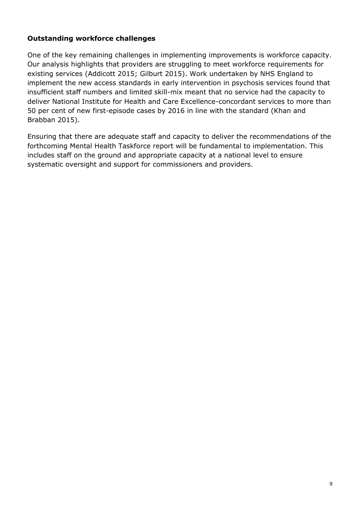#### **Outstanding workforce challenges**

One of the key remaining challenges in implementing improvements is workforce capacity. Our analysis highlights that providers are struggling to meet workforce requirements for existing services (Addicott 2015; Gilburt 2015). Work undertaken by NHS England to implement the new access standards in early intervention in psychosis services found that insufficient staff numbers and limited skill-mix meant that no service had the capacity to deliver National Institute for Health and Care Excellence-concordant services to more than 50 per cent of new first-episode cases by 2016 in line with the standard (Khan and Brabban 2015).

Ensuring that there are adequate staff and capacity to deliver the recommendations of the forthcoming Mental Health Taskforce report will be fundamental to implementation. This includes staff on the ground and appropriate capacity at a national level to ensure systematic oversight and support for commissioners and providers.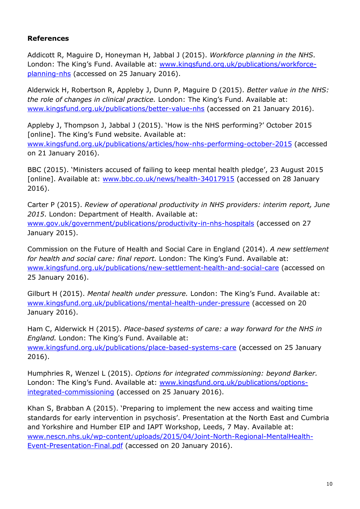#### **References**

Addicott R, Maguire D, Honeyman H, Jabbal J (2015). *Workforce planning in the NHS*. London: The King's Fund. Available at: [www.kingsfund.org.uk/publications/workforce](http://www.kingsfund.org.uk/publications/workforce-planning-nhs)[planning-nhs](http://www.kingsfund.org.uk/publications/workforce-planning-nhs) (accessed on 25 January 2016).

Alderwick H, Robertson R, Appleby J, Dunn P, Maguire D (2015). *Better value in the NHS: the role of changes in clinical practice.* London: The King's Fund. Available at: [www.kingsfund.org.uk/publications/better-value-nhs](http://www.kingsfund.org.uk/publications/better-value-nhs) (accessed on 21 January 2016).

Appleby J, Thompson J, Jabbal J (2015). 'How is the NHS performing?' October 2015 [online]. The King's Fund website. Available at: [www.kingsfund.org.uk/publications/articles/how-nhs-performing-october-2015](http://www.kingsfund.org.uk/publications/articles/how-nhs-performing-october-2015) (accessed on 21 January 2016).

BBC (2015). 'Ministers accused of failing to keep mental health pledge', 23 August 2015 [online]. Available at: [www.bbc.co.uk/news/health-34017915](http://www.bbc.co.uk/news/health-34017915) (accessed on 28 January 2016).

Carter P (2015). *Review of operational productivity in NHS providers: interim report, June 2015*. London: Department of Health. Available at: [www.gov.uk/government/publications/productivity-in-nhs-hospitals](http://www.gov.uk/government/publications/productivity-in-nhs-hospitals) (accessed on 27 January 2015).

Commission on the Future of Health and Social Care in England (2014). *A new settlement for health and social care: final report.* London: The King's Fund. Available at: [www.kingsfund.org.uk/publications/new-settlement-health-and-social-care](http://www.kingsfund.org.uk/publications/new-settlement-health-and-social-care) (accessed on 25 January 2016).

Gilburt H (2015). *Mental health under pressure.* London: The King's Fund. Available at: [www.kingsfund.org.uk/publications/mental-health-under-pressure](http://www.kingsfund.org.uk/publications/mental-health-under-pressure) (accessed on 20 January 2016).

Ham C, Alderwick H (2015). *Place-based systems of care: a way forward for the NHS in England.* London: The King's Fund. Available at: [www.kingsfund.org.uk/publications/place-based-systems-care](http://www.kingsfund.org.uk/publications/place-based-systems-care) (accessed on 25 January 2016).

Humphries R, Wenzel L (2015). *Options for integrated commissioning: beyond Barker.*  London: The King's Fund. Available at: [www.kingsfund.org.uk/publications/options](http://www.kingsfund.org.uk/publications/options-integrated-commissioning)[integrated-commissioning](http://www.kingsfund.org.uk/publications/options-integrated-commissioning) (accessed on 25 January 2016).

Khan S, Brabban A (2015). 'Preparing to implement the new access and waiting time standards for early intervention in psychosis'. Presentation at the North East and Cumbria and Yorkshire and Humber EIP and IAPT Workshop, Leeds, 7 May. Available at: [www.nescn.nhs.uk/wp-content/uploads/2015/04/Joint-North-Regional-MentalHealth-](http://www.nescn.nhs.uk/wp-content/uploads/2015/04/Joint-North-Regional-MentalHealth-Event-Presentation-Final.pdf)[Event-Presentation-Final.pdf](http://www.nescn.nhs.uk/wp-content/uploads/2015/04/Joint-North-Regional-MentalHealth-Event-Presentation-Final.pdf) (accessed on 20 January 2016).